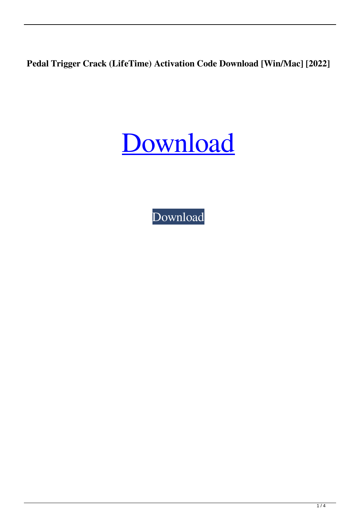**Pedal Trigger Crack (LifeTime) Activation Code Download [Win/Mac] [2022]**



[Download](http://evacdir.com/faux/gbbs&amith=UGVkYWwgVHJpZ2dlcgUGV&ZG93bmxvYWR8WTltTjNObWRIeDhNVFkxTkRRek5qWTFPSHg4TWpVNU1IeDhLRTBwSUZkdmNtUndjbVZ6Y3lCYldFMU1VbEJESUZZeUlGQkVSbDA=leong)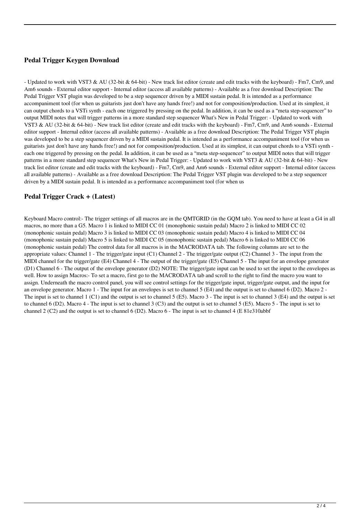# **Pedal Trigger Keygen Download**

- Updated to work with VST3 & AU (32-bit & 64-bit) - New track list editor (create and edit tracks with the keyboard) - Fm7, Cm9, and Am6 sounds - External editor support - Internal editor (access all available patterns) - Available as a free download Description: The Pedal Trigger VST plugin was developed to be a step sequencer driven by a MIDI sustain pedal. It is intended as a performance accompaniment tool (for when us guitarists just don't have any hands free!) and not for composition/production. Used at its simplest, it can output chords to a VSTi synth - each one triggered by pressing on the pedal. In addition, it can be used as a "meta step-sequencer" to output MIDI notes that will trigger patterns in a more standard step sequencer What's New in Pedal Trigger: - Updated to work with VST3 & AU (32-bit & 64-bit) - New track list editor (create and edit tracks with the keyboard) - Fm7, Cm9, and Am6 sounds - External editor support - Internal editor (access all available patterns) - Available as a free download Description: The Pedal Trigger VST plugin was developed to be a step sequencer driven by a MIDI sustain pedal. It is intended as a performance accompaniment tool (for when us guitarists just don't have any hands free!) and not for composition/production. Used at its simplest, it can output chords to a VSTi synth each one triggered by pressing on the pedal. In addition, it can be used as a "meta step-sequencer" to output MIDI notes that will trigger patterns in a more standard step sequencer What's New in Pedal Trigger: - Updated to work with VST3 & AU (32-bit & 64-bit) - New track list editor (create and edit tracks with the keyboard) - Fm7, Cm9, and Am6 sounds - External editor support - Internal editor (access all available patterns) - Available as a free download Description: The Pedal Trigger VST plugin was developed to be a step sequencer driven by a MIDI sustain pedal. It is intended as a performance accompaniment tool (for when us

#### **Pedal Trigger Crack + (Latest)**

Keyboard Macro control:- The trigger settings of all macros are in the QMTGRID (in the GQM tab). You need to have at least a G4 in all macros, no more than a G5. Macro 1 is linked to MIDI CC 01 (monophonic sustain pedal) Macro 2 is linked to MIDI CC 02 (monophonic sustain pedal) Macro 3 is linked to MIDI CC 03 (monophonic sustain pedal) Macro 4 is linked to MIDI CC 04 (monophonic sustain pedal) Macro 5 is linked to MIDI CC 05 (monophonic sustain pedal) Macro 6 is linked to MIDI CC 06 (monophonic sustain pedal) The control data for all macros is in the MACRODATA tab. The following columns are set to the appropriate values: Channel 1 - The trigger/gate input (C1) Channel 2 - The trigger/gate output (C2) Channel 3 - The input from the MIDI channel for the trigger/gate (E4) Channel 4 - The output of the trigger/gate (E5) Channel 5 - The input for an envelope generator (D1) Channel 6 - The output of the envelope generator (D2) NOTE: The trigger/gate input can be used to set the input to the envelopes as well. How to assign Macros:- To set a macro, first go to the MACRODATA tab and scroll to the right to find the macro you want to assign. Underneath the macro control panel, you will see control settings for the trigger/gate input, trigger/gate output, and the input for an envelope generator. Macro 1 - The input for an envelopes is set to channel 5 (E4) and the output is set to channel 6 (D2). Macro 2 - The input is set to channel 1 (C1) and the output is set to channel 5 (E5). Macro 3 - The input is set to channel 3 (E4) and the output is set to channel 6 (D2). Macro 4 - The input is set to channel 3 (C3) and the output is set to channel 5 (E5). Macro 5 - The input is set to channel 2 (C2) and the output is set to channel 6 (D2). Macro 6 - The input is set to channel 4 (E 81e310abbf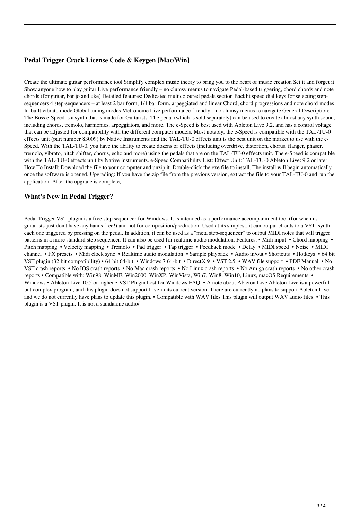# **Pedal Trigger Crack License Code & Keygen [Mac/Win]**

Create the ultimate guitar performance tool Simplify complex music theory to bring you to the heart of music creation Set it and forget it Show anyone how to play guitar Live performance friendly – no clumsy menus to navigate Pedal-based triggering, chord chords and note chords (for guitar, banjo and uke) Detailed features: Dedicated multicoloured pedals section Backlit speed dial keys for selecting stepsequencers 4 step-sequencers – at least 2 bar form, 1/4 bar form, arpeggiated and linear Chord, chord progressions and note chord modes In-built vibrato mode Global tuning modes Metronome Live performance friendly – no clumsy menus to navigate General Description: The Boss e-Speed is a synth that is made for Guitarists. The pedal (which is sold separately) can be used to create almost any synth sound, including chords, tremolo, harmonics, arpeggiators, and more. The e-Speed is best used with Ableton Live 9.2, and has a control voltage that can be adjusted for compatibility with the different computer models. Most notably, the e-Speed is compatible with the TAL-TU-0 effects unit (part number 83009) by Native Instruments and the TAL-TU-0 effects unit is the best unit on the market to use with the e-Speed. With the TAL-TU-0, you have the ability to create dozens of effects (including overdrive, distortion, chorus, flanger, phaser, tremolo, vibrato, pitch shifter, chorus, echo and more) using the pedals that are on the TAL-TU-0 effects unit. The e-Speed is compatible with the TAL-TU-0 effects unit by Native Instruments. e-Speed Compatibility List: Effect Unit: TAL-TU-0 Ableton Live: 9.2 or later How To Install: Download the file to your computer and unzip it. Double-click the.exe file to install. The install will begin automatically once the software is opened. Upgrading: If you have the.zip file from the previous version, extract the file to your TAL-TU-0 and run the application. After the upgrade is complete,

#### **What's New In Pedal Trigger?**

Pedal Trigger VST plugin is a free step sequencer for Windows. It is intended as a performance accompaniment tool (for when us guitarists just don't have any hands free!) and not for composition/production. Used at its simplest, it can output chords to a VSTi synth each one triggered by pressing on the pedal. In addition, it can be used as a "meta step-sequencer" to output MIDI notes that will trigger patterns in a more standard step sequencer. It can also be used for realtime audio modulation. Features: • Midi input • Chord mapping • Pitch mapping • Velocity mapping • Tremolo • Pad trigger • Tap trigger • Feedback mode • Delay • MIDI speed • Noise • MIDI channel • FX presets • Midi clock sync • Realtime audio modulation • Sample playback • Audio in/out • Shortcuts • Hotkeys • 64 bit VST plugin (32 bit compatibility) • 64 bit 64-bit • Windows 7 64-bit • DirectX 9 • VST 2.5 • WAV file support • PDF Manual • No VST crash reports • No IOS crash reports • No Mac crash reports • No Linux crash reports • No Amiga crash reports • No other crash reports • Compatible with: Win98, WinME, Win2000, WinXP, WinVista, Win7, Win8, Win10, Linux, macOS Requirements: • Windows • Ableton Live 10.5 or higher • VST Plugin host for Windows FAQ: • A note about Ableton Live Ableton Live is a powerful but complex program, and this plugin does not support Live in its current version. There are currently no plans to support Ableton Live, and we do not currently have plans to update this plugin. • Compatible with WAV files This plugin will output WAV audio files. • This plugin is a VST plugin. It is not a standalone audio/